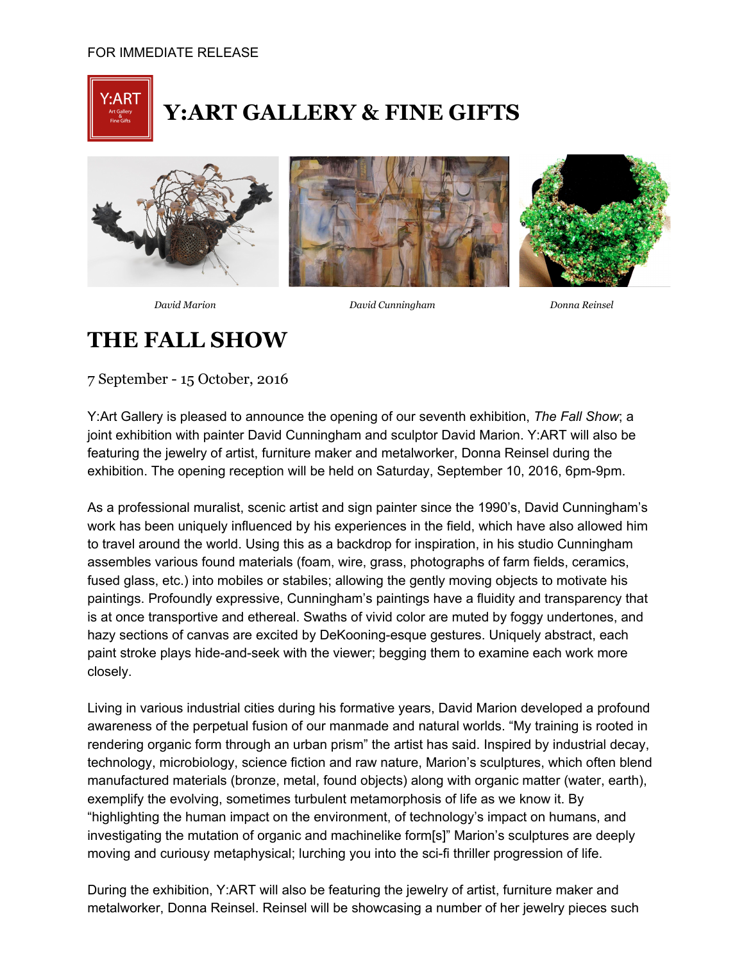

## **Y:ART GALLERY & FINE GIFTS**







*David Marion David Cunningham Donna Reinsel*

## **THE FALL SHOW**

7 September 15 October, 2016

Y:Art Gallery is pleased to announce the opening of our seventh exhibition, *The Fall Show*; a joint exhibition with painter David Cunningham and sculptor David Marion. Y:ART will also be featuring the jewelry of artist, furniture maker and metalworker, Donna Reinsel during the exhibition. The opening reception will be held on Saturday, September 10, 2016, 6pm-9pm.

As a professional muralist, scenic artist and sign painter since the 1990's, David Cunningham's work has been uniquely influenced by his experiences in the field, which have also allowed him to travel around the world. Using this as a backdrop for inspiration, in his studio Cunningham assembles various found materials (foam, wire, grass, photographs of farm fields, ceramics, fused glass, etc.) into mobiles or stabiles; allowing the gently moving objects to motivate his paintings. Profoundly expressive, Cunningham's paintings have a fluidity and transparency that is at once transportive and ethereal. Swaths of vivid color are muted by foggy undertones, and hazy sections of canvas are excited by DeKooning-esque gestures. Uniquely abstract, each paint stroke plays hide-and-seek with the viewer; begging them to examine each work more closely.

Living in various industrial cities during his formative years, David Marion developed a profound awareness of the perpetual fusion of our manmade and natural worlds. "My training is rooted in rendering organic form through an urban prism" the artist has said. Inspired by industrial decay, technology, microbiology, science fiction and raw nature, Marion's sculptures, which often blend manufactured materials (bronze, metal, found objects) along with organic matter (water, earth), exemplify the evolving, sometimes turbulent metamorphosis of life as we know it. By "highlighting the human impact on the environment, of technology's impact on humans, and investigating the mutation of organic and machinelike form[s]" Marion's sculptures are deeply moving and curiousy metaphysical; lurching you into the sci-fi thriller progression of life.

During the exhibition, Y:ART will also be featuring the jewelry of artist, furniture maker and metalworker, Donna Reinsel. Reinsel will be showcasing a number of her jewelry pieces such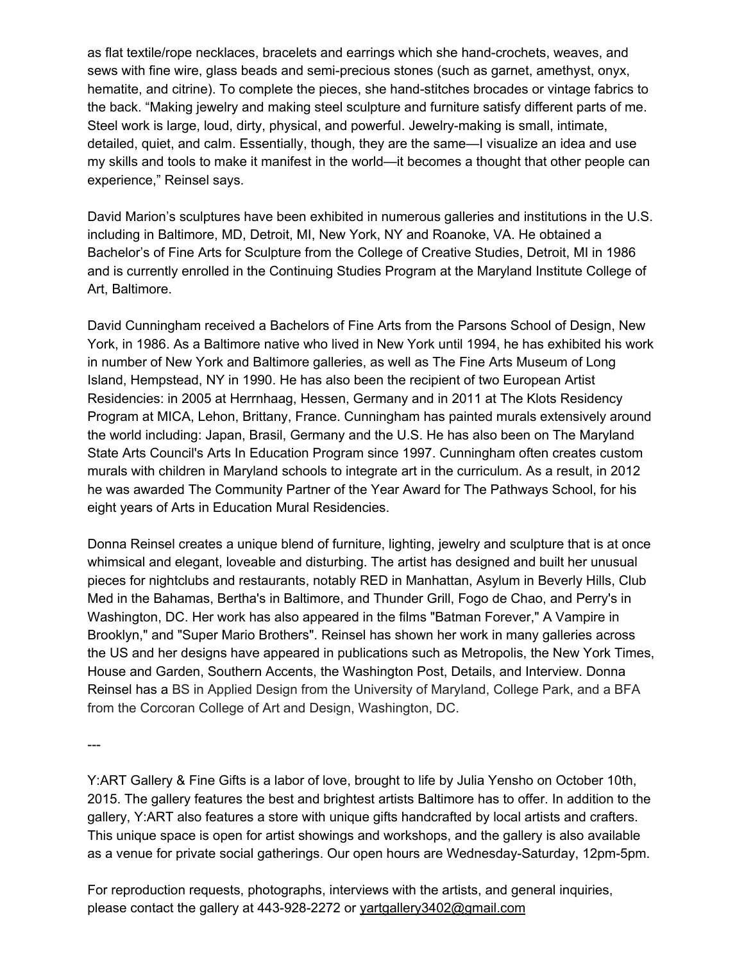as flat textile/rope necklaces, bracelets and earrings which she hand-crochets, weaves, and sews with fine wire, glass beads and semi-precious stones (such as garnet, amethyst, onyx, hematite, and citrine). To complete the pieces, she hand-stitches brocades or vintage fabrics to the back. "Making jewelry and making steel sculpture and furniture satisfy different parts of me. Steel work is large, loud, dirty, physical, and powerful. Jewelry-making is small, intimate, detailed, quiet, and calm. Essentially, though, they are the same—I visualize an idea and use my skills and tools to make it manifest in the world—it becomes a thought that other people can experience," Reinsel says.

David Marion's sculptures have been exhibited in numerous galleries and institutions in the U.S. including in Baltimore, MD, Detroit, MI, New York, NY and Roanoke, VA. He obtained a Bachelor's of Fine Arts for Sculpture from the College of Creative Studies, Detroit, MI in 1986 and is currently enrolled in the Continuing Studies Program at the Maryland Institute College of Art, Baltimore.

David Cunningham received a Bachelors of Fine Arts from the Parsons School of Design, New York, in 1986. As a Baltimore native who lived in New York until 1994, he has exhibited his work in number of New York and Baltimore galleries, as well as The Fine Arts Museum of Long Island, Hempstead, NY in 1990. He has also been the recipient of two European Artist Residencies: in 2005 at Herrnhaag, Hessen, Germany and in 2011 at The Klots Residency Program at MICA, Lehon, Brittany, France. Cunningham has painted murals extensively around the world including: Japan, Brasil, Germany and the U.S. He has also been on The Maryland State Arts Council's Arts In Education Program since 1997. Cunningham often creates custom murals with children in Maryland schools to integrate art in the curriculum. As a result, in 2012 he was awarded The Community Partner of the Year Award for The Pathways School, for his eight years of Arts in Education Mural Residencies.

Donna Reinsel creates a unique blend of furniture, lighting, jewelry and sculpture that is at once whimsical and elegant, loveable and disturbing. The artist has designed and built her unusual pieces for nightclubs and restaurants, notably RED in Manhattan, Asylum in Beverly Hills, Club Med in the Bahamas, Bertha's in Baltimore, and Thunder Grill, Fogo de Chao, and Perry's in Washington, DC. Her work has also appeared in the films "Batman Forever," A Vampire in Brooklyn," and "Super Mario Brothers". Reinsel has shown her work in many galleries across the US and her designs have appeared in publications such as Metropolis, the New York Times, House and Garden, Southern Accents, the Washington Post, Details, and Interview. Donna Reinsel has a BS in Applied Design from the University of Maryland, College Park, and a BFA from the Corcoran College of Art and Design, Washington, DC.

 $---$ 

Y:ART Gallery & Fine Gifts is a labor of love, brought to life by Julia Yensho on October 10th, 2015. The gallery features the best and brightest artists Baltimore has to offer. In addition to the gallery, Y:ART also features a store with unique gifts handcrafted by local artists and crafters. This unique space is open for artist showings and workshops, and the gallery is also available as a venue for private social gatherings. Our open hours are Wednesday-Saturday, 12pm-5pm.

For reproduction requests, photographs, interviews with the artists, and general inquiries, please contact the gallery at 443-928-2272 or [yartgallery3402@gmail.com](mailto:yartgallery3402@gmail.com)